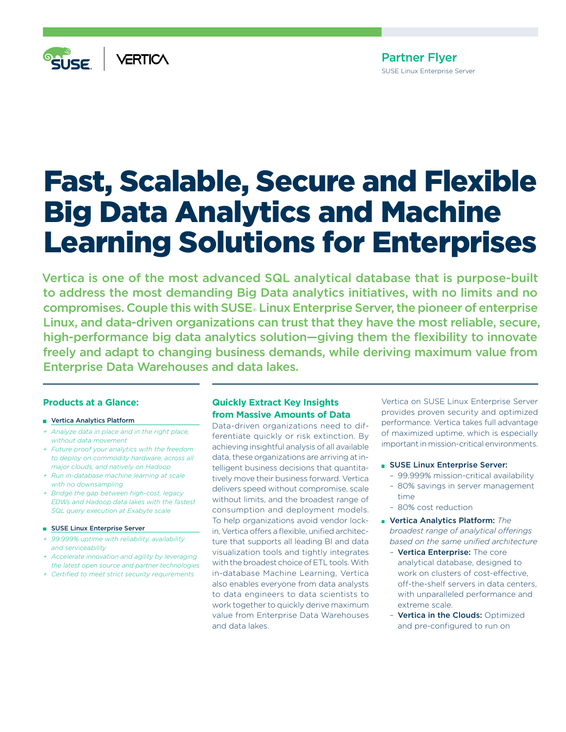

# Partner Flyer SUSE Linux Enterprise Server

# Fast, Scalable, Secure and Flexible Big Data Analytics and Machine Learning Solutions for Enterprises

Vertica is one of the most advanced SQL analytical database that is purpose-built to address the most demanding Big Data analytics initiatives, with no limits and no compromises. Couple this with SUSE® Linux Enterprise Server, the pioneer of enterprise Linux, and data-driven organizations can trust that they have the most reliable, secure, high-performance big data analytics solution—giving them the flexibility to innovate freely and adapt to changing business demands, while deriving maximum value from Enterprise Data Warehouses and data lakes.

## **Products at a Glance:**

#### **Vertica Analytics Platform**

- *+ Analyze data in place and in the right place, without data movement*
- *+ Future proof your analytics with the freedom to deploy on commodity hardware, across all major clouds, and natively on Hadoop*
- *+ Run in-database machine learning at scale with no downsampling*
- *+ Bridge the gap between high-cost, legacy EDWs and Hadoop data lakes with the fastest SQL query execution at Exabyte scale*

#### **SUSE Linux Enterprise Server**

- *+ 99.999% uptime with reliability, availability and serviceability*
- *+ Accelerate innovation and agility by leveraging the latest open source and partner technologies*
- *+ Certified to meet strict security requirements*

# **Quickly Extract Key Insights from Massive Amounts of Data**

Data-driven organizations need to differentiate quickly or risk extinction. By achieving insightful analysis of all available data, these organizations are arriving at intelligent business decisions that quantitatively move their business forward. Vertica delivers speed without compromise, scale without limits, and the broadest range of consumption and deployment models. To help organizations avoid vendor lockin, Vertica offers a flexible, unified architecture that supports all leading BI and data visualization tools and tightly integrates with the broadest choice of ETL tools. With in-database Machine Learning, Vertica also enables everyone from data analysts to data engineers to data scientists to work together to quickly derive maximum value from Enterprise Data Warehouses and data lakes.

Vertica on SUSE Linux Enterprise Server provides proven security and optimized performance. Vertica takes full advantage of maximized uptime, which is especially important in mission-critical environments.

#### **SUSE Linux Enterprise Server:**

- 99.999% mission-critical availability
- 80% savings in server management time
- 80% cost reduction
- Vertica Analytics Platform: *The broadest range of analytical offerings based on the same unified architecture*
	- Vertica Enterprise: The core analytical database, designed to work on clusters of cost-effective, off-the-shelf servers in data centers, with unparalleled performance and extreme scale.
	- Vertica in the Clouds: Optimized and pre-configured to run on